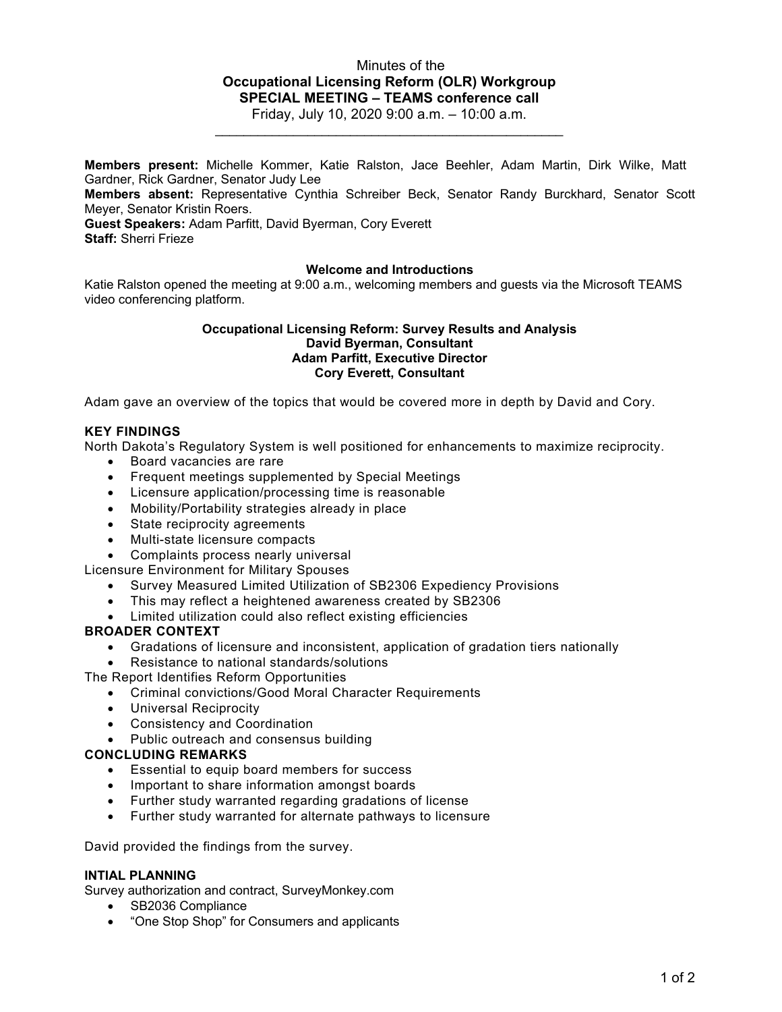# Minutes of the **Occupational Licensing Reform (OLR) Workgroup SPECIAL MEETING – TEAMS conference call**

Friday, July 10, 2020 9:00 a.m. – 10:00 a.m. \_\_\_\_\_\_\_\_\_\_\_\_\_\_\_\_\_\_\_\_\_\_\_\_\_\_\_\_\_\_\_\_\_\_\_\_\_\_\_\_\_\_\_\_\_\_\_\_\_

**Members present:** Michelle Kommer, Katie Ralston, Jace Beehler, Adam Martin, Dirk Wilke, Matt Gardner, Rick Gardner, Senator Judy Lee

**Members absent:** Representative Cynthia Schreiber Beck, Senator Randy Burckhard, Senator Scott Meyer, Senator Kristin Roers.

**Guest Speakers:** Adam Parfitt, David Byerman, Cory Everett

**Staff:** Sherri Frieze

## **Welcome and Introductions**

Katie Ralston opened the meeting at 9:00 a.m., welcoming members and guests via the Microsoft TEAMS video conferencing platform.

### **Occupational Licensing Reform: Survey Results and Analysis David Byerman, Consultant Adam Parfitt, Executive Director Cory Everett, Consultant**

Adam gave an overview of the topics that would be covered more in depth by David and Cory.

## **KEY FINDINGS**

North Dakota's Regulatory System is well positioned for enhancements to maximize reciprocity.

- Board vacancies are rare
- Frequent meetings supplemented by Special Meetings
- Licensure application/processing time is reasonable
- Mobility/Portability strategies already in place
- State reciprocity agreements
- Multi-state licensure compacts
- Complaints process nearly universal

Licensure Environment for Military Spouses

- Survey Measured Limited Utilization of SB2306 Expediency Provisions
- This may reflect a heightened awareness created by SB2306
- Limited utilization could also reflect existing efficiencies

## **BROADER CONTEXT**

- Gradations of licensure and inconsistent, application of gradation tiers nationally
- Resistance to national standards/solutions
- The Report Identifies Reform Opportunities
	- Criminal convictions/Good Moral Character Requirements
	- Universal Reciprocity
	- Consistency and Coordination
	- Public outreach and consensus building

## **CONCLUDING REMARKS**

- Essential to equip board members for success
- Important to share information amongst boards
- Further study warranted regarding gradations of license
- Further study warranted for alternate pathways to licensure

David provided the findings from the survey.

### **INTIAL PLANNING**

Survey authorization and contract, SurveyMonkey.com

- SB2036 Compliance
- "One Stop Shop" for Consumers and applicants